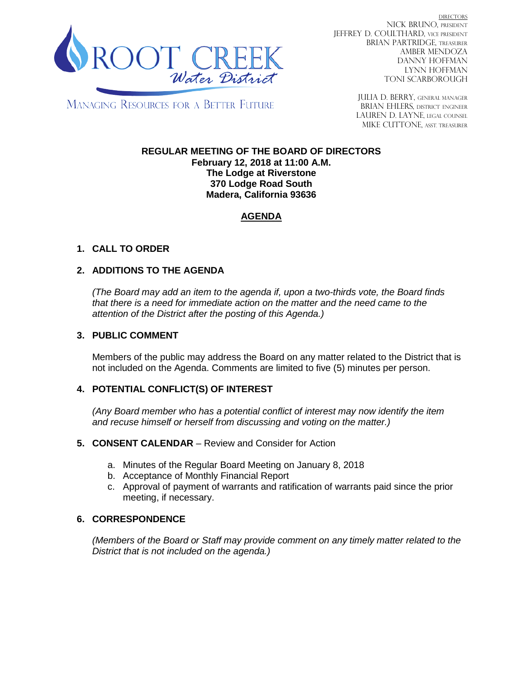

DIRECTORS NICK BRUNO, PRESIDENT JEFFREY D. COULTHARD, Vice President BRIAN PARTRIDGE, TREASURER AMBER MENDOZA DANNY HOFFMAN LYNN HOFFMAN TONI SCARBOROUGH

**MANAGING RESOURCES FOR A BETTER FUTURE** 

JULIA D. BERRY, GENERAL MANAGER BRIAN EHLERS, DISTRICT ENGINEER LAUREN D. LAYNE, LEGAL COUNSEL MIKE CUTTONE, Asst. treasurer

### **REGULAR MEETING OF THE BOARD OF DIRECTORS February 12, 2018 at 11:00 A.M. The Lodge at Riverstone 370 Lodge Road South Madera, California 93636**

# **AGENDA**

# **1. CALL TO ORDER**

# **2. ADDITIONS TO THE AGENDA**

*(The Board may add an item to the agenda if, upon a two-thirds vote, the Board finds that there is a need for immediate action on the matter and the need came to the attention of the District after the posting of this Agenda.)*

## **3. PUBLIC COMMENT**

Members of the public may address the Board on any matter related to the District that is not included on the Agenda. Comments are limited to five (5) minutes per person.

## **4. POTENTIAL CONFLICT(S) OF INTEREST**

*(Any Board member who has a potential conflict of interest may now identify the item and recuse himself or herself from discussing and voting on the matter.)*

#### **5. CONSENT CALENDAR** – Review and Consider for Action

- a. Minutes of the Regular Board Meeting on January 8, 2018
- b. Acceptance of Monthly Financial Report
- c. Approval of payment of warrants and ratification of warrants paid since the prior meeting, if necessary.

## **6. CORRESPONDENCE**

*(Members of the Board or Staff may provide comment on any timely matter related to the District that is not included on the agenda.)*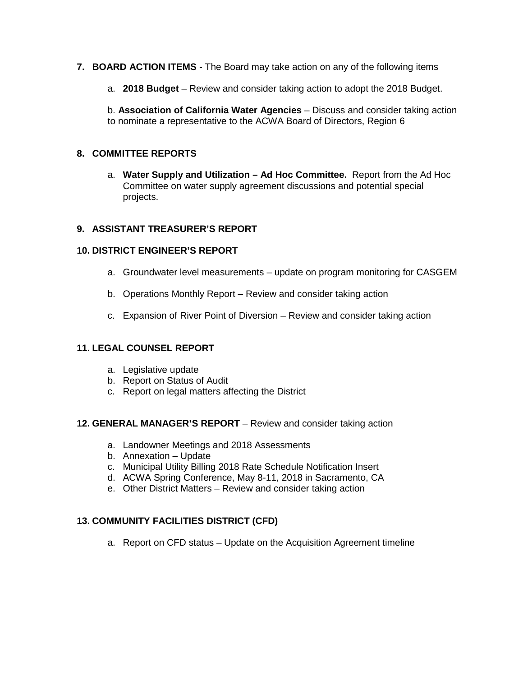- **7. BOARD ACTION ITEMS**  The Board may take action on any of the following items
	- a. **2018 Budget** Review and consider taking action to adopt the 2018 Budget.

b. **Association of California Water Agencies** – Discuss and consider taking action to nominate a representative to the ACWA Board of Directors, Region 6

## **8. COMMITTEE REPORTS**

a. **Water Supply and Utilization – Ad Hoc Committee.** Report from the Ad Hoc Committee on water supply agreement discussions and potential special projects.

### **9. ASSISTANT TREASURER'S REPORT**

#### **10. DISTRICT ENGINEER'S REPORT**

- a. Groundwater level measurements update on program monitoring for CASGEM
- b. Operations Monthly Report Review and consider taking action
- c. Expansion of River Point of Diversion Review and consider taking action

## **11. LEGAL COUNSEL REPORT**

- a. Legislative update
- b. Report on Status of Audit
- c. Report on legal matters affecting the District

#### **12. GENERAL MANAGER'S REPORT** – Review and consider taking action

- a. Landowner Meetings and 2018 Assessments
- b. Annexation Update
- c. Municipal Utility Billing 2018 Rate Schedule Notification Insert
- d. ACWA Spring Conference, May 8-11, 2018 in Sacramento, CA
- e. Other District Matters Review and consider taking action

## **13. COMMUNITY FACILITIES DISTRICT (CFD)**

a. Report on CFD status – Update on the Acquisition Agreement timeline